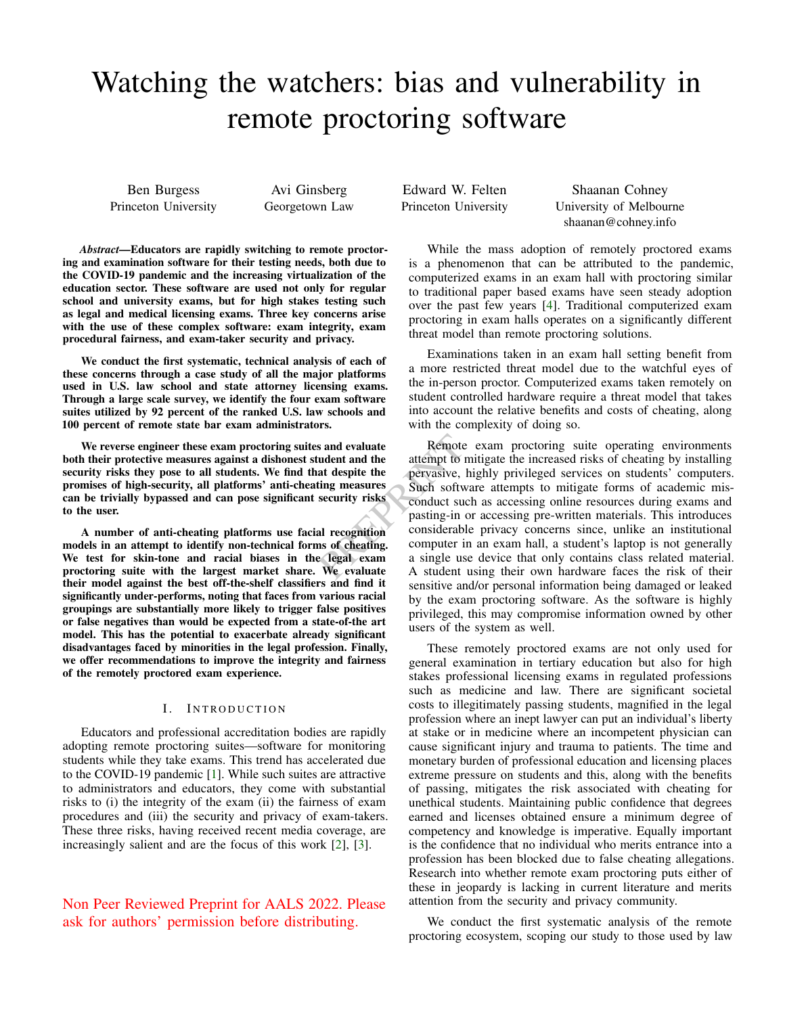# <span id="page-0-0"></span>Watching the watchers: bias and vulnerability in remote proctoring software

Ben Burgess Princeton University

Avi Ginsberg Georgetown Law

*Abstract*—Educators are rapidly switching to remote proctoring and examination software for their testing needs, both due to the COVID-19 pandemic and the increasing virtualization of the education sector. These software are used not only for regular school and university exams, but for high stakes testing such as legal and medical licensing exams. Three key concerns arise with the use of these complex software: exam integrity, exam procedural fairness, and exam-taker security and privacy.

We conduct the first systematic, technical analysis of each of these concerns through a case study of all the major platforms used in U.S. law school and state attorney licensing exams. Through a large scale survey, we identify the four exam software suites utilized by 92 percent of the ranked U.S. law schools and 100 percent of remote state bar exam administrators.

We reverse engineer these exam proctoring suites and evaluate both their protective measures against a dishonest student and the security risks they pose to all students. We find that despite the promises of high-security, all platforms' anti-cheating measures can be trivially bypassed and can pose significant security risks to the user.

A number of anti-cheating platforms use facial recognition models in an attempt to identify non-technical forms of cheating. We test for skin-tone and racial biases in the legal exam proctoring suite with the largest market share. We evaluate their model against the best off-the-shelf classifiers and find it significantly under-performs, noting that faces from various racial groupings are substantially more likely to trigger false positives or false negatives than would be expected from a state-of-the art model. This has the potential to exacerbate already significant disadvantages faced by minorities in the legal profession. Finally, we offer recommendations to improve the integrity and fairness of the remotely proctored exam experience.

#### I. INTRODUCTION

Educators and professional accreditation bodies are rapidly adopting remote proctoring suites—software for monitoring students while they take exams. This trend has accelerated due to the COVID-19 pandemic [\[1\]](#page-13-0). While such suites are attractive to administrators and educators, they come with substantial risks to (i) the integrity of the exam (ii) the fairness of exam procedures and (iii) the security and privacy of exam-takers. These three risks, having received recent media coverage, are increasingly salient and are the focus of this work [\[2\]](#page-13-1), [\[3\]](#page-13-2).

Non Peer Reviewed Preprint for AALS 2022. Please ask for authors' permission before distributing.

Edward W. Felten Princeton University

Shaanan Cohney University of Melbourne shaanan@cohney.info

While the mass adoption of remotely proctored exams is a phenomenon that can be attributed to the pandemic, computerized exams in an exam hall with proctoring similar to traditional paper based exams have seen steady adoption over the past few years [\[4\]](#page-13-3). Traditional computerized exam proctoring in exam halls operates on a significantly different threat model than remote proctoring solutions.

Examinations taken in an exam hall setting benefit from a more restricted threat model due to the watchful eyes of the in-person proctor. Computerized exams taken remotely on student controlled hardware require a threat model that takes into account the relative benefits and costs of cheating, along with the complexity of doing so.

Solution and evaluate<br>
at despite the attempt to mitigate the increase<br>
at despite the pervasive, highly privileged set<br>
ing measures<br>
Such software attempts to mitigate the successing online<br>
security risks<br>
and the condu Remote exam proctoring suite operating environments attempt to mitigate the increased risks of cheating by installing pervasive, highly privileged services on students' computers. Such software attempts to mitigate forms of academic misconduct such as accessing online resources during exams and pasting-in or accessing pre-written materials. This introduces considerable privacy concerns since, unlike an institutional computer in an exam hall, a student's laptop is not generally a single use device that only contains class related material. A student using their own hardware faces the risk of their sensitive and/or personal information being damaged or leaked by the exam proctoring software. As the software is highly privileged, this may compromise information owned by other users of the system as well.

> These remotely proctored exams are not only used for general examination in tertiary education but also for high stakes professional licensing exams in regulated professions such as medicine and law. There are significant societal costs to illegitimately passing students, magnified in the legal profession where an inept lawyer can put an individual's liberty at stake or in medicine where an incompetent physician can cause significant injury and trauma to patients. The time and monetary burden of professional education and licensing places extreme pressure on students and this, along with the benefits of passing, mitigates the risk associated with cheating for unethical students. Maintaining public confidence that degrees earned and licenses obtained ensure a minimum degree of competency and knowledge is imperative. Equally important is the confidence that no individual who merits entrance into a profession has been blocked due to false cheating allegations. Research into whether remote exam proctoring puts either of these in jeopardy is lacking in current literature and merits attention from the security and privacy community.

> We conduct the first systematic analysis of the remote proctoring ecosystem, scoping our study to those used by law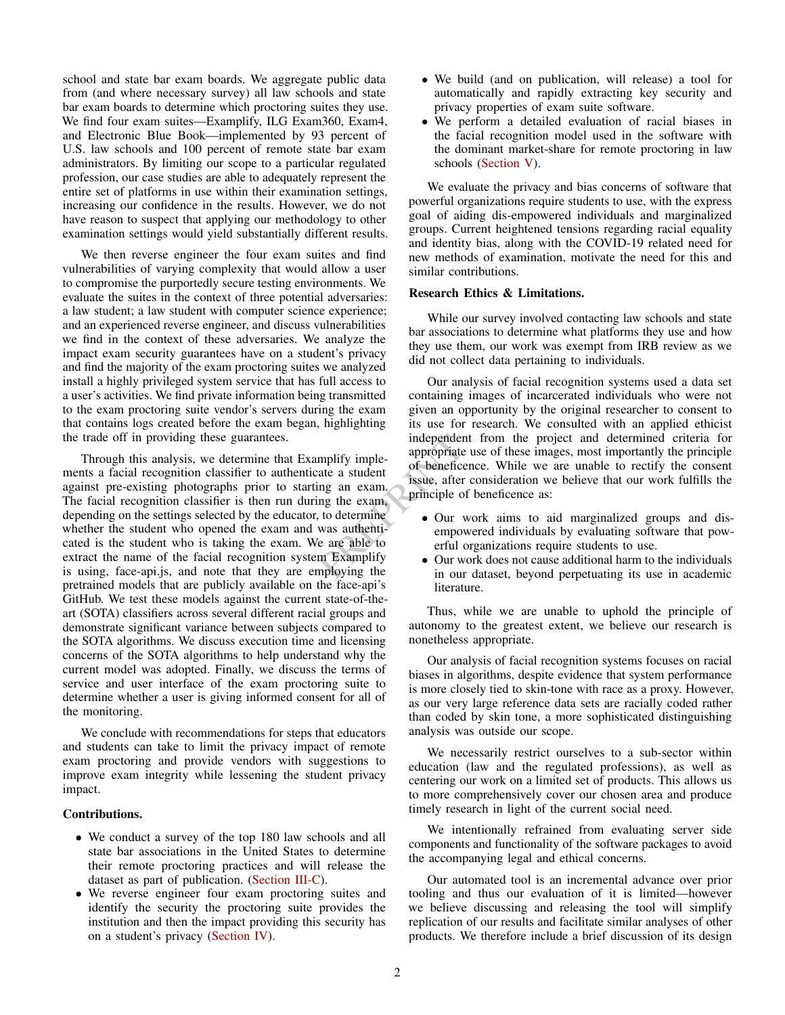school and state bar exam boards. We aggregate public data from (and where necessary survey) all law schools and state bar exam boards to determine which proctoring suites they use. We find four exam suites—Examplify, ILG Exam360, Exam4, and Electronic Blue Book—implemented by 93 percent of U.S. law schools and 100 percent of remote state bar exam administrators. By limiting our scope to a particular regulated profession, our case studies are able to adequately represent the entire set of platforms in use within their examination settings, increasing our confidence in the results. However, we do not have reason to suspect that applying our methodology to other examination settings would yield substantially different results.

We then reverse engineer the four exam suites and find vulnerabilities of varying complexity that would allow a user to compromise the purportedly secure testing environments. We evaluate the suites in the context of three potential adversaries: a law student; a law student with computer science experience; and an experienced reverse engineer, and discuss vulnerabilities we find in the context of these adversaries. We analyze the impact exam security guarantees have on a student's privacy and find the majority of the exam proctoring suites we analyzed install a highly privileged system service that has full access to a user's activities. We find private information being transmitted to the exam proctoring suite vendor's servers during the exam that contains logs created before the exam began, highlighting the trade off in providing these guarantees.

Through this analysis, we determine that Examplify implements a facial recognition classifier to authenticate a student against pre-existing photographs prior to starting an exam. The facial recognition classifier is then run during the exam, depending on the settings selected by the educator, to determine whether the student who opened the exam and was authenticated is the student who is taking the exam. We are able to extract the name of the facial recognition system Examplify is using, face-api.js, and note that they are employing the pretrained models that are publicly available on the face-api's GitHub. We test these models against the current state-of-theart (SOTA) classifiers across several different racial groups and demonstrate significant variance between subjects compared to the SOTA algorithms. We discuss execution time and licensing concerns of the SOTA algorithms to help understand why the current model was adopted. Finally, we discuss the terms of service and user interface of the exam proctoring suite to determine whether a user is giving informed consent for all of the monitoring.

We conclude with recommendations for steps that educators and students can take to limit the privacy impact of remote exam proctoring and provide vendors with suggestions to improve exam integrity while lessening the student privacy impact.

# Contributions.

- We conduct a survey of the top 180 law schools and all state bar associations in the United States to determine their remote proctoring practices and will release the dataset as part of publication. [\(Section III-C\)](#page-3-0).
- We reverse engineer four exam proctoring suites and identify the security the proctoring suite provides the institution and then the impact providing this security has on a student's privacy [\(Section IV\)](#page-3-1).
- We build (and on publication, will release) a tool for automatically and rapidly extracting key security and privacy properties of exam suite software.
- We perform a detailed evaluation of racial biases in the facial recognition model used in the software with the dominant market-share for remote proctoring in law schools [\(Section V\)](#page-9-0).

We evaluate the privacy and bias concerns of software that powerful organizations require students to use, with the express goal of aiding dis-empowered individuals and marginalized groups. Current heightened tensions regarding racial equality and identity bias, along with the COVID-19 related need for new methods of examination, motivate the need for this and similar contributions.

## Research Ethics & Limitations.

While our survey involved contacting law schools and state bar associations to determine what platforms they use and how they use them, our work was exempt from IRB review as we did not collect data pertaining to individuals.

independent from the project<br>
appropriate use of these images<br>
ate a student<br>
ing an exam.<br>
In the exam,<br>
to determine<br>
was authenti-<br>
in the example of beneficence as:<br>
be our work aims to aid<br>
e are able to<br>
the examplif Our analysis of facial recognition systems used a data set containing images of incarcerated individuals who were not given an opportunity by the original researcher to consent to its use for research. We consulted with an applied ethicist independent from the project and determined criteria for appropriate use of these images, most importantly the principle of beneficence. While we are unable to rectify the consent issue, after consideration we believe that our work fulfills the principle of beneficence as:

- Our work aims to aid marginalized groups and disempowered individuals by evaluating software that powerful organizations require students to use.
- Our work does not cause additional harm to the individuals in our dataset, beyond perpetuating its use in academic literature.

Thus, while we are unable to uphold the principle of autonomy to the greatest extent, we believe our research is nonetheless appropriate.

Our analysis of facial recognition systems focuses on racial biases in algorithms, despite evidence that system performance is more closely tied to skin-tone with race as a proxy. However, as our very large reference data sets are racially coded rather than coded by skin tone, a more sophisticated distinguishing analysis was outside our scope.

We necessarily restrict ourselves to a sub-sector within education (law and the regulated professions), as well as centering our work on a limited set of products. This allows us to more comprehensively cover our chosen area and produce timely research in light of the current social need.

We intentionally refrained from evaluating server side components and functionality of the software packages to avoid the accompanying legal and ethical concerns.

Our automated tool is an incremental advance over prior tooling and thus our evaluation of it is limited—however we believe discussing and releasing the tool will simplify replication of our results and facilitate similar analyses of other products. We therefore include a brief discussion of its design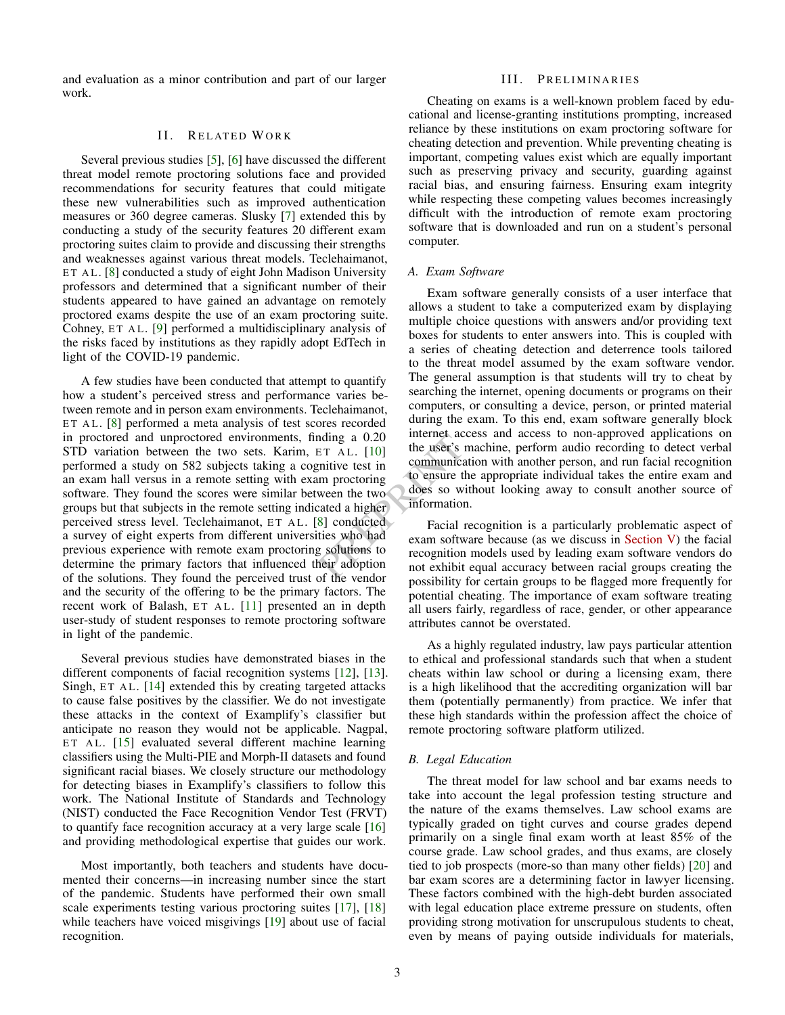<span id="page-2-0"></span>and evaluation as a minor contribution and part of our larger work.

## II. RELATED WORK

Several previous studies [\[5\]](#page-13-4), [\[6\]](#page-13-5) have discussed the different threat model remote proctoring solutions face and provided recommendations for security features that could mitigate these new vulnerabilities such as improved authentication measures or 360 degree cameras. Slusky [\[7\]](#page-13-6) extended this by conducting a study of the security features 20 different exam proctoring suites claim to provide and discussing their strengths and weaknesses against various threat models. Teclehaimanot, ET AL. [\[8\]](#page-13-7) conducted a study of eight John Madison University professors and determined that a significant number of their students appeared to have gained an advantage on remotely proctored exams despite the use of an exam proctoring suite. Cohney,  $ET AL. [9]$  $ET AL. [9]$  performed a multidisciplinary analysis of the risks faced by institutions as they rapidly adopt EdTech in light of the COVID-19 pandemic.

A few studies have been conducted that attempt to quantify how a student's perceived stress and performance varies between remote and in person exam environments. Teclehaimanot, ET AL. [\[8\]](#page-13-7) performed a meta analysis of test scores recorded in proctored and unproctored environments, finding a 0.20 STD variation between the two sets. Karim, ET AL. [10] performed a study on 582 subjects taking a cognitive test in an exam hall versus in a remote setting with exam proctoring software. They found the scores were similar between the two groups but that subjects in the remote setting indicated a higher perceived stress level. Teclehaimanot, ET AL. [\[8\]](#page-13-7) conducted a survey of eight experts from different universities who had previous experience with remote exam proctoring solutions to determine the primary factors that influenced their adoption of the solutions. They found the perceived trust of the vendor and the security of the offering to be the primary factors. The recent work of Balash, ET AL. [\[11\]](#page-13-10) presented an in depth user-study of student responses to remote proctoring software in light of the pandemic.

Several previous studies have demonstrated biases in the different components of facial recognition systems [\[12\]](#page-13-11), [\[13\]](#page-13-12). Singh,  $ET AL. [14]$  $ET AL. [14]$  extended this by creating targeted attacks to cause false positives by the classifier. We do not investigate these attacks in the context of Examplify's classifier but anticipate no reason they would not be applicable. Nagpal, ET AL. [\[15\]](#page-13-14) evaluated several different machine learning classifiers using the Multi-PIE and Morph-II datasets and found significant racial biases. We closely structure our methodology for detecting biases in Examplify's classifiers to follow this work. The National Institute of Standards and Technology (NIST) conducted the Face Recognition Vendor Test (FRVT) to quantify face recognition accuracy at a very large scale [\[16\]](#page-13-15) and providing methodological expertise that guides our work.

Most importantly, both teachers and students have documented their concerns—in increasing number since the start of the pandemic. Students have performed their own small scale experiments testing various proctoring suites [\[17\]](#page-13-16), [\[18\]](#page-13-17) while teachers have voiced misgivings [\[19\]](#page-14-0) about use of facial recognition.

## III. PRELIMINARIES

Cheating on exams is a well-known problem faced by educational and license-granting institutions prompting, increased reliance by these institutions on exam proctoring software for cheating detection and prevention. While preventing cheating is important, competing values exist which are equally important such as preserving privacy and security, guarding against racial bias, and ensuring fairness. Ensuring exam integrity while respecting these competing values becomes increasingly difficult with the introduction of remote exam proctoring software that is downloaded and run on a student's personal computer.

#### *A. Exam Software*

mating a 0.20 Internet access and access to<br>
ET AL. [10] the user's machine, perform at<br>
mitive test in communication with another perform at<br>
mitive test in communication with another per<br>
mitive test in the appropriate i Exam software generally consists of a user interface that allows a student to take a computerized exam by displaying multiple choice questions with answers and/or providing text boxes for students to enter answers into. This is coupled with a series of cheating detection and deterrence tools tailored to the threat model assumed by the exam software vendor. The general assumption is that students will try to cheat by searching the internet, opening documents or programs on their computers, or consulting a device, person, or printed material during the exam. To this end, exam software generally block internet access and access to non-approved applications on the user's machine, perform audio recording to detect verbal communication with another person, and run facial recognition to ensure the appropriate individual takes the entire exam and does so without looking away to consult another source of information.

Facial recognition is a particularly problematic aspect of exam software because (as we discuss in [Section V\)](#page-9-0) the facial recognition models used by leading exam software vendors do not exhibit equal accuracy between racial groups creating the possibility for certain groups to be flagged more frequently for potential cheating. The importance of exam software treating all users fairly, regardless of race, gender, or other appearance attributes cannot be overstated.

As a highly regulated industry, law pays particular attention to ethical and professional standards such that when a student cheats within law school or during a licensing exam, there is a high likelihood that the accrediting organization will bar them (potentially permanently) from practice. We infer that these high standards within the profession affect the choice of remote proctoring software platform utilized.

#### *B. Legal Education*

The threat model for law school and bar exams needs to take into account the legal profession testing structure and the nature of the exams themselves. Law school exams are typically graded on tight curves and course grades depend primarily on a single final exam worth at least 85% of the course grade. Law school grades, and thus exams, are closely tied to job prospects (more-so than many other fields) [\[20\]](#page-14-1) and bar exam scores are a determining factor in lawyer licensing. These factors combined with the high-debt burden associated with legal education place extreme pressure on students, often providing strong motivation for unscrupulous students to cheat, even by means of paying outside individuals for materials,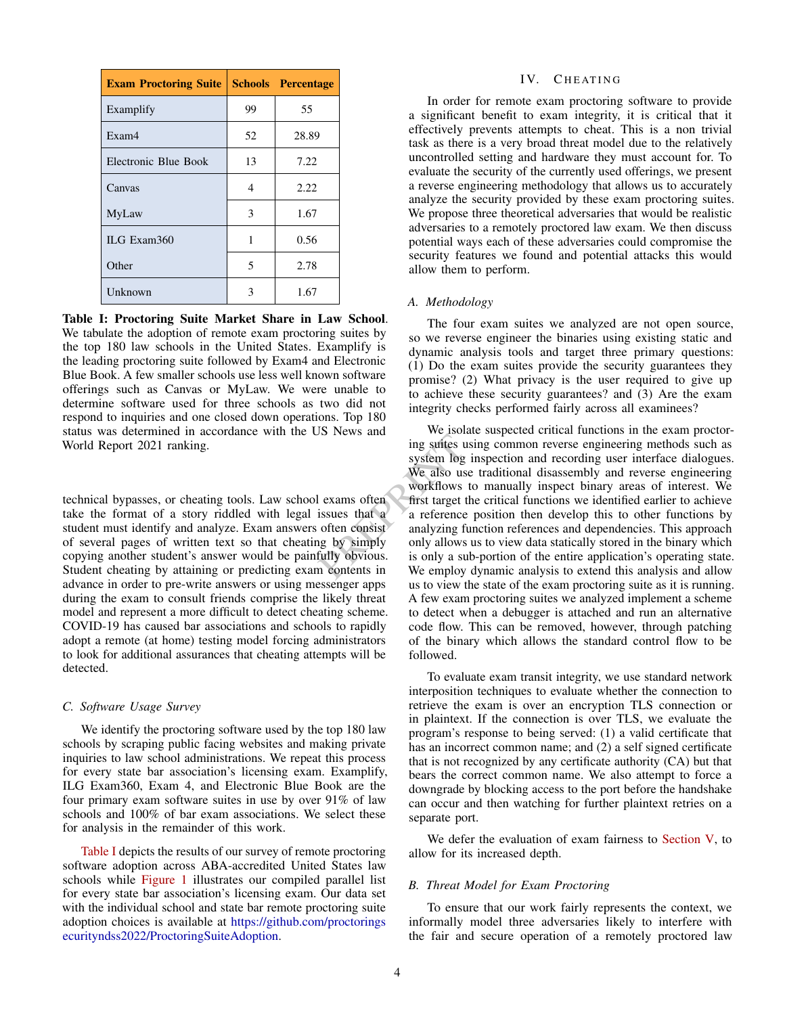<span id="page-3-2"></span>

| <b>Exam Proctoring Suite   Schools</b> |    | <b>Percentage</b> |
|----------------------------------------|----|-------------------|
| Examplify                              | 99 | 55                |
| Exam <sub>4</sub>                      | 52 | 28.89             |
| Electronic Blue Book                   | 13 | 7.22              |
| Canvas                                 | 4  | 2.22              |
| MyLaw                                  | 3  | 1.67              |
| ILG Exam360                            | 1  | 0.56              |
| Other                                  | 5  | 2.78              |
| Unknown                                | 3  | 1.67              |

Table I: Proctoring Suite Market Share in Law School. We tabulate the adoption of remote exam proctoring suites by the top 180 law schools in the United States. Examplify is the leading proctoring suite followed by Exam4 and Electronic Blue Book. A few smaller schools use less well known software offerings such as Canvas or MyLaw. We were unable to determine software used for three schools as two did not respond to inquiries and one closed down operations. Top 180 status was determined in accordance with the US News and World Report 2021 ranking.

technical bypasses, or cheating tools. Law school exams often take the format of a story riddled with legal issues that a student must identify and analyze. Exam answers often consist of several pages of written text so that cheating by simply copying another student's answer would be painfully obvious. Student cheating by attaining or predicting exam contents in advance in order to pre-write answers or using messenger apps during the exam to consult friends comprise the likely threat model and represent a more difficult to detect cheating scheme. COVID-19 has caused bar associations and schools to rapidly adopt a remote (at home) testing model forcing administrators to look for additional assurances that cheating attempts will be detected.

#### <span id="page-3-0"></span>*C. Software Usage Survey*

We identify the proctoring software used by the top 180 law schools by scraping public facing websites and making private inquiries to law school administrations. We repeat this process for every state bar association's licensing exam. Examplify, ILG Exam360, Exam 4, and Electronic Blue Book are the four primary exam software suites in use by over 91% of law schools and 100% of bar exam associations. We select these for analysis in the remainder of this work.

[Table I](#page-3-2) depicts the results of our survey of remote proctoring software adoption across ABA-accredited United States law schools while [Figure 1](#page-4-0) illustrates our compiled parallel list for every state bar association's licensing exam. Our data set with the individual school and state bar remote proctoring suite adoption choices is available at [https://github.com/proctorings](https://github.com/proctoringsecurityndss2022/ProctoringSuiteAdoption) [ecurityndss2022/ProctoringSuiteAdoption.](https://github.com/proctoringsecurityndss2022/ProctoringSuiteAdoption)

## IV. CHEATING

<span id="page-3-1"></span>In order for remote exam proctoring software to provide a significant benefit to exam integrity, it is critical that it effectively prevents attempts to cheat. This is a non trivial task as there is a very broad threat model due to the relatively uncontrolled setting and hardware they must account for. To evaluate the security of the currently used offerings, we present a reverse engineering methodology that allows us to accurately analyze the security provided by these exam proctoring suites. We propose three theoretical adversaries that would be realistic adversaries to a remotely proctored law exam. We then discuss potential ways each of these adversaries could compromise the security features we found and potential attacks this would allow them to perform.

## *A. Methodology*

The four exam suites we analyzed are not open source, so we reverse engineer the binaries using existing static and dynamic analysis tools and target three primary questions: (1) Do the exam suites provide the security guarantees they promise? (2) What privacy is the user required to give up to achieve these security guarantees? and (3) Are the exam integrity checks performed fairly across all examinees?

From the same state and sing common revert<br>system log inspection and record<br>we also use traditional disasses<br>workflows to manually inspect<br>areas workflows to manually inspect<br>sissues that a a reference position then develo We isolate suspected critical functions in the exam proctoring suites using common reverse engineering methods such as system log inspection and recording user interface dialogues. We also use traditional disassembly and reverse engineering workflows to manually inspect binary areas of interest. We first target the critical functions we identified earlier to achieve a reference position then develop this to other functions by analyzing function references and dependencies. This approach only allows us to view data statically stored in the binary which is only a sub-portion of the entire application's operating state. We employ dynamic analysis to extend this analysis and allow us to view the state of the exam proctoring suite as it is running. A few exam proctoring suites we analyzed implement a scheme to detect when a debugger is attached and run an alternative code flow. This can be removed, however, through patching of the binary which allows the standard control flow to be followed.

> To evaluate exam transit integrity, we use standard network interposition techniques to evaluate whether the connection to retrieve the exam is over an encryption TLS connection or in plaintext. If the connection is over TLS, we evaluate the program's response to being served: (1) a valid certificate that has an incorrect common name; and (2) a self signed certificate that is not recognized by any certificate authority (CA) but that bears the correct common name. We also attempt to force a downgrade by blocking access to the port before the handshake can occur and then watching for further plaintext retries on a separate port.

> We defer the evaluation of exam fairness to [Section V,](#page-9-0) to allow for its increased depth.

## *B. Threat Model for Exam Proctoring*

To ensure that our work fairly represents the context, we informally model three adversaries likely to interfere with the fair and secure operation of a remotely proctored law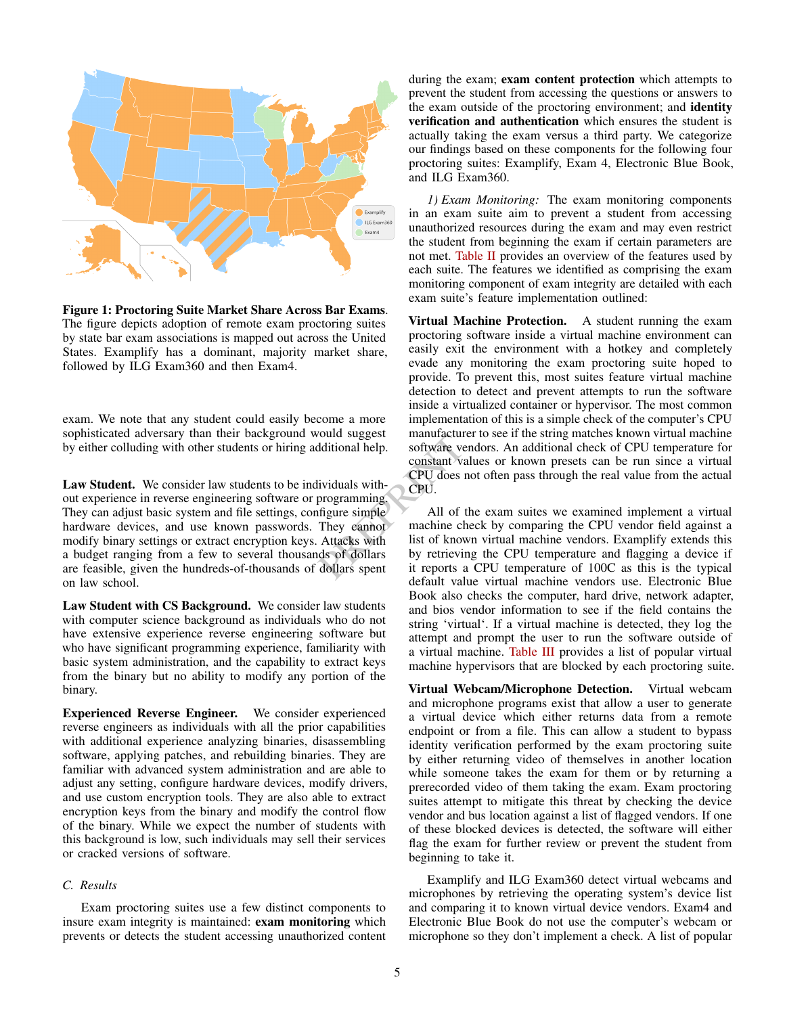<span id="page-4-0"></span>

Figure 1: Proctoring Suite Market Share Across Bar Exams. The figure depicts adoption of remote exam proctoring suites by state bar exam associations is mapped out across the United States. Examplify has a dominant, majority market share, followed by ILG Exam360 and then Exam4.

exam. We note that any student could easily become a more sophisticated adversary than their background would suggest by either colluding with other students or hiring additional help.

Law Student. We consider law students to be individuals without experience in reverse engineering software or programming. They can adjust basic system and file settings, configure simple hardware devices, and use known passwords. They cannot modify binary settings or extract encryption keys. Attacks with a budget ranging from a few to several thousands of dollars are feasible, given the hundreds-of-thousands of dollars spent on law school.

Law Student with CS Background. We consider law students with computer science background as individuals who do not have extensive experience reverse engineering software but who have significant programming experience, familiarity with basic system administration, and the capability to extract keys from the binary but no ability to modify any portion of the binary.

Experienced Reverse Engineer. We consider experienced reverse engineers as individuals with all the prior capabilities with additional experience analyzing binaries, disassembling software, applying patches, and rebuilding binaries. They are familiar with advanced system administration and are able to adjust any setting, configure hardware devices, modify drivers, and use custom encryption tools. They are also able to extract encryption keys from the binary and modify the control flow of the binary. While we expect the number of students with this background is low, such individuals may sell their services or cracked versions of software.

# *C. Results*

Exam proctoring suites use a few distinct components to insure exam integrity is maintained: exam monitoring which prevents or detects the student accessing unauthorized content during the exam; exam content protection which attempts to prevent the student from accessing the questions or answers to the exam outside of the proctoring environment; and identity verification and authentication which ensures the student is actually taking the exam versus a third party. We categorize our findings based on these components for the following four proctoring suites: Examplify, Exam 4, Electronic Blue Book, and ILG Exam360.

*1) Exam Monitoring:* The exam monitoring components in an exam suite aim to prevent a student from accessing unauthorized resources during the exam and may even restrict the student from beginning the exam if certain parameters are not met. [Table II](#page-5-0) provides an overview of the features used by each suite. The features we identified as comprising the exam monitoring component of exam integrity are detailed with each exam suite's feature implementation outlined:

Virtual Machine Protection. A student running the exam proctoring software inside a virtual machine environment can easily exit the environment with a hotkey and completely evade any monitoring the exam proctoring suite hoped to provide. To prevent this, most suites feature virtual machine detection to detect and prevent attempts to run the software inside a virtualized container or hypervisor. The most common implementation of this is a simple check of the computer's CPU manufacturer to see if the string matches known virtual machine software vendors. An additional check of CPU temperature for constant values or known presets can be run since a virtual CPU does not often pass through the real value from the actual CPU.

From the set of the sum and the software vendors. An additional help.<br>
software vendors. An additional<br>
constant values or known presividuals with-<br>
programming.<br>
All of the exam suites we<br>
machine check by comparing<br>
Atta All of the exam suites we examined implement a virtual machine check by comparing the CPU vendor field against a list of known virtual machine vendors. Examplify extends this by retrieving the CPU temperature and flagging a device if it reports a CPU temperature of 100C as this is the typical default value virtual machine vendors use. Electronic Blue Book also checks the computer, hard drive, network adapter, and bios vendor information to see if the field contains the string 'virtual'. If a virtual machine is detected, they log the attempt and prompt the user to run the software outside of a virtual machine. [Table III](#page-7-0) provides a list of popular virtual machine hypervisors that are blocked by each proctoring suite.

> Virtual Webcam/Microphone Detection. Virtual webcam and microphone programs exist that allow a user to generate a virtual device which either returns data from a remote endpoint or from a file. This can allow a student to bypass identity verification performed by the exam proctoring suite by either returning video of themselves in another location while someone takes the exam for them or by returning a prerecorded video of them taking the exam. Exam proctoring suites attempt to mitigate this threat by checking the device vendor and bus location against a list of flagged vendors. If one of these blocked devices is detected, the software will either flag the exam for further review or prevent the student from beginning to take it.

> Examplify and ILG Exam360 detect virtual webcams and microphones by retrieving the operating system's device list and comparing it to known virtual device vendors. Exam4 and Electronic Blue Book do not use the computer's webcam or microphone so they don't implement a check. A list of popular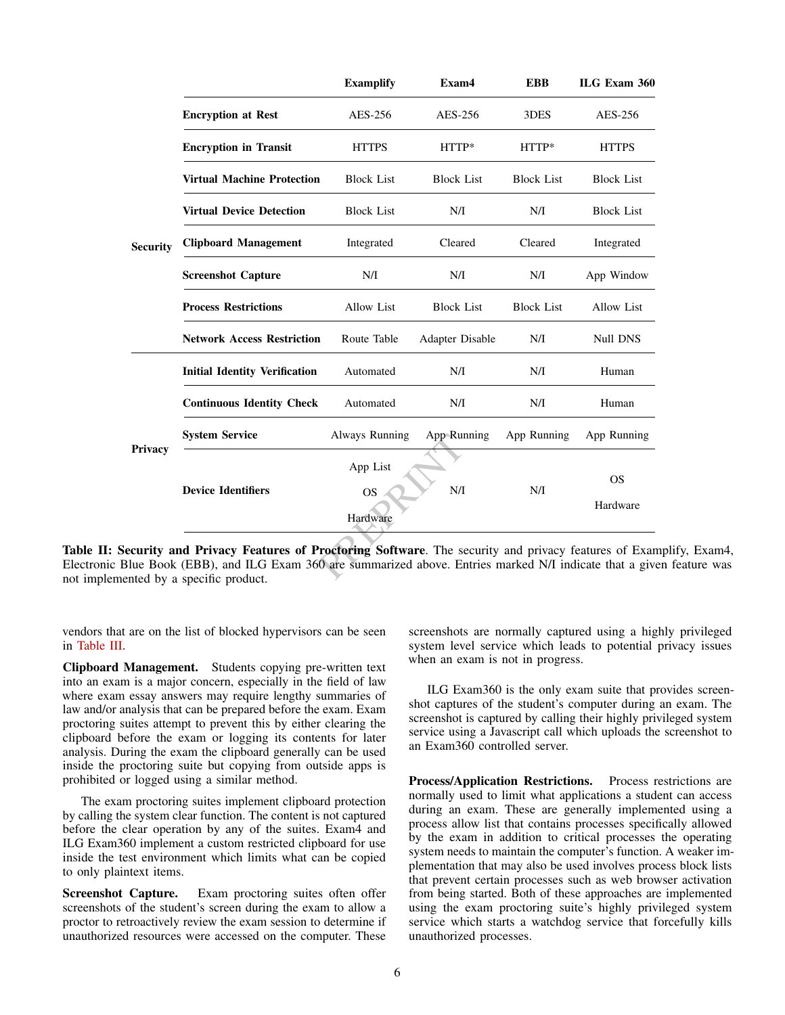<span id="page-5-0"></span>

|                 |                                      | <b>Examplify</b>      | Exam4             | <b>EBB</b>        | ILG Exam 360      |
|-----------------|--------------------------------------|-----------------------|-------------------|-------------------|-------------------|
|                 | <b>Encryption at Rest</b>            | AES-256               | AES-256           | 3DES              | AES-256           |
| <b>Security</b> | <b>Encryption in Transit</b>         | <b>HTTPS</b>          | $HTTP*$           | $HTTP*$           | <b>HTTPS</b>      |
|                 | <b>Virtual Machine Protection</b>    | <b>Block List</b>     | <b>Block List</b> | <b>Block List</b> | <b>Block List</b> |
|                 | <b>Virtual Device Detection</b>      | <b>Block List</b>     | N/I               | N/I               | <b>Block List</b> |
|                 | <b>Clipboard Management</b>          | Integrated            | Cleared           | Cleared           | Integrated        |
|                 | <b>Screenshot Capture</b>            | N/I                   | N/I               | N/I               | App Window        |
|                 | <b>Process Restrictions</b>          | <b>Allow List</b>     | <b>Block List</b> | <b>Block List</b> | <b>Allow List</b> |
|                 | <b>Network Access Restriction</b>    | Route Table           | Adapter Disable   | N/I               | Null DNS          |
| Privacy         | <b>Initial Identity Verification</b> | Automated             | N/I               | N/I               | Human             |
|                 | <b>Continuous Identity Check</b>     | Automated             | N/I               | N/I               | Human             |
|                 | <b>System Service</b>                | Always Running        | App Running       | App Running       | App Running       |
|                 |                                      | App List              |                   |                   | <b>OS</b>         |
|                 | <b>Device Identifiers</b>            | <b>OS</b><br>Hardware | N/I               | N/I               | Hardware          |

Table II: Security and Privacy Features of Proctoring Software. The security and privacy features of Examplify, Exam4, Electronic Blue Book (EBB), and ILG Exam 360 are summarized above. Entries marked N/I indicate that a given feature was not implemented by a specific product.

vendors that are on the list of blocked hypervisors can be seen in [Table III.](#page-7-0)

Clipboard Management. Students copying pre-written text into an exam is a major concern, especially in the field of law where exam essay answers may require lengthy summaries of law and/or analysis that can be prepared before the exam. Exam proctoring suites attempt to prevent this by either clearing the clipboard before the exam or logging its contents for later analysis. During the exam the clipboard generally can be used inside the proctoring suite but copying from outside apps is prohibited or logged using a similar method.

The exam proctoring suites implement clipboard protection by calling the system clear function. The content is not captured before the clear operation by any of the suites. Exam4 and ILG Exam360 implement a custom restricted clipboard for use inside the test environment which limits what can be copied to only plaintext items.

Screenshot Capture. Exam proctoring suites often offer screenshots of the student's screen during the exam to allow a proctor to retroactively review the exam session to determine if unauthorized resources were accessed on the computer. These

screenshots are normally captured using a highly privileged system level service which leads to potential privacy issues when an exam is not in progress.

ILG Exam360 is the only exam suite that provides screenshot captures of the student's computer during an exam. The screenshot is captured by calling their highly privileged system service using a Javascript call which uploads the screenshot to an Exam360 controlled server.

Process/Application Restrictions. Process restrictions are normally used to limit what applications a student can access during an exam. These are generally implemented using a process allow list that contains processes specifically allowed by the exam in addition to critical processes the operating system needs to maintain the computer's function. A weaker implementation that may also be used involves process block lists that prevent certain processes such as web browser activation from being started. Both of these approaches are implemented using the exam proctoring suite's highly privileged system service which starts a watchdog service that forcefully kills unauthorized processes.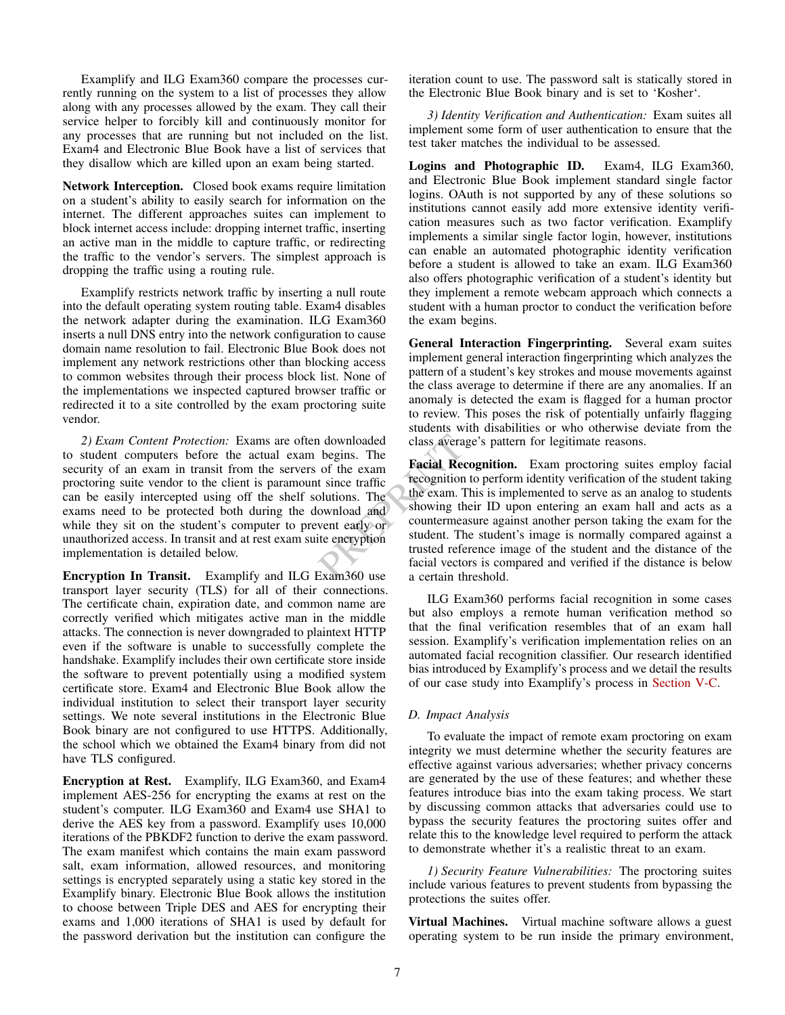Examplify and ILG Exam360 compare the processes currently running on the system to a list of processes they allow along with any processes allowed by the exam. They call their service helper to forcibly kill and continuously monitor for any processes that are running but not included on the list. Exam4 and Electronic Blue Book have a list of services that they disallow which are killed upon an exam being started.

Network Interception. Closed book exams require limitation on a student's ability to easily search for information on the internet. The different approaches suites can implement to block internet access include: dropping internet traffic, inserting an active man in the middle to capture traffic, or redirecting the traffic to the vendor's servers. The simplest approach is dropping the traffic using a routing rule.

Examplify restricts network traffic by inserting a null route into the default operating system routing table. Exam4 disables the network adapter during the examination. ILG Exam360 inserts a null DNS entry into the network configuration to cause domain name resolution to fail. Electronic Blue Book does not implement any network restrictions other than blocking access to common websites through their process block list. None of the implementations we inspected captured browser traffic or redirected it to a site controlled by the exam proctoring suite vendor.

*2) Exam Content Protection:* Exams are often downloaded to student computers before the actual exam begins. The security of an exam in transit from the servers of the exam proctoring suite vendor to the client is paramount since traffic can be easily intercepted using off the shelf solutions. The exams need to be protected both during the download and while they sit on the student's computer to prevent early or unauthorized access. In transit and at rest exam suite encryption implementation is detailed below.

Encryption In Transit. Examplify and ILG Exam360 use transport layer security (TLS) for all of their connections. The certificate chain, expiration date, and common name are correctly verified which mitigates active man in the middle attacks. The connection is never downgraded to plaintext HTTP even if the software is unable to successfully complete the handshake. Examplify includes their own certificate store inside the software to prevent potentially using a modified system certificate store. Exam4 and Electronic Blue Book allow the individual institution to select their transport layer security settings. We note several institutions in the Electronic Blue Book binary are not configured to use HTTPS. Additionally, the school which we obtained the Exam4 binary from did not have TLS configured.

Encryption at Rest. Examplify, ILG Exam360, and Exam4 implement AES-256 for encrypting the exams at rest on the student's computer. ILG Exam360 and Exam4 use SHA1 to derive the AES key from a password. Examplify uses 10,000 iterations of the PBKDF2 function to derive the exam password. The exam manifest which contains the main exam password salt, exam information, allowed resources, and monitoring settings is encrypted separately using a static key stored in the Examplify binary. Electronic Blue Book allows the institution to choose between Triple DES and AES for encrypting their exams and 1,000 iterations of SHA1 is used by default for the password derivation but the institution can configure the

iteration count to use. The password salt is statically stored in the Electronic Blue Book binary and is set to 'Kosher'.

*3) Identity Verification and Authentication:* Exam suites all implement some form of user authentication to ensure that the test taker matches the individual to be assessed.

Logins and Photographic ID. Exam4, ILG Exam360, and Electronic Blue Book implement standard single factor logins. OAuth is not supported by any of these solutions so institutions cannot easily add more extensive identity verification measures such as two factor verification. Examplify implements a similar single factor login, however, institutions can enable an automated photographic identity verification before a student is allowed to take an exam. ILG Exam360 also offers photographic verification of a student's identity but they implement a remote webcam approach which connects a student with a human proctor to conduct the verification before the exam begins.

General Interaction Fingerprinting. Several exam suites implement general interaction fingerprinting which analyzes the pattern of a student's key strokes and mouse movements against the class average to determine if there are any anomalies. If an anomaly is detected the exam is flagged for a human proctor to review. This poses the risk of potentially unfairly flagging students with disabilities or who otherwise deviate from the class average's pattern for legitimate reasons.

Proposition and and according to the same in the search of the exametion. Examet the since traffic and according to the exam. This is implemented in the exam. This is implemented in the exam. This is implemented went early Facial Recognition. Exam proctoring suites employ facial recognition to perform identity verification of the student taking the exam. This is implemented to serve as an analog to students showing their ID upon entering an exam hall and acts as a countermeasure against another person taking the exam for the student. The student's image is normally compared against a trusted reference image of the student and the distance of the facial vectors is compared and verified if the distance is below a certain threshold.

> ILG Exam360 performs facial recognition in some cases but also employs a remote human verification method so that the final verification resembles that of an exam hall session. Examplify's verification implementation relies on an automated facial recognition classifier. Our research identified bias introduced by Examplify's process and we detail the results of our case study into Examplify's process in [Section V-C.](#page-11-0)

# *D. Impact Analysis*

To evaluate the impact of remote exam proctoring on exam integrity we must determine whether the security features are effective against various adversaries; whether privacy concerns are generated by the use of these features; and whether these features introduce bias into the exam taking process. We start by discussing common attacks that adversaries could use to bypass the security features the proctoring suites offer and relate this to the knowledge level required to perform the attack to demonstrate whether it's a realistic threat to an exam.

*1) Security Feature Vulnerabilities:* The proctoring suites include various features to prevent students from bypassing the protections the suites offer.

Virtual Machines. Virtual machine software allows a guest operating system to be run inside the primary environment,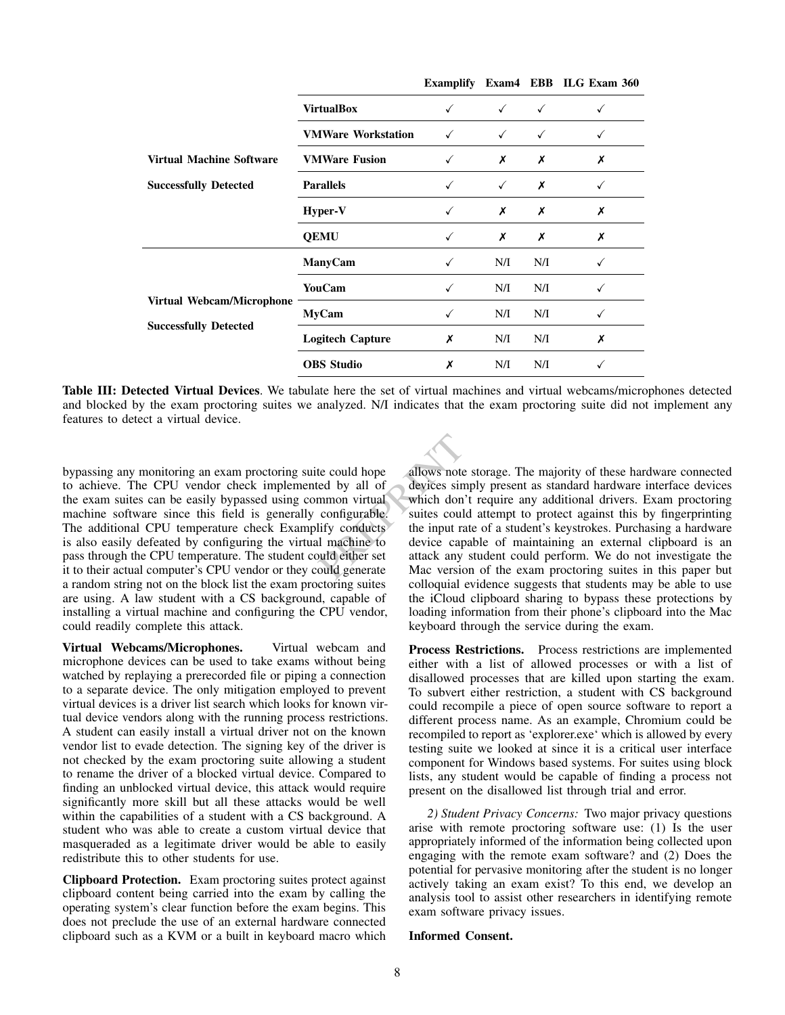<span id="page-7-0"></span>

|                                 |                           |              |              |              | Examplify Exam4 EBB ILG Exam 360 |
|---------------------------------|---------------------------|--------------|--------------|--------------|----------------------------------|
|                                 | <b>VirtualBox</b>         | $\checkmark$ | $\checkmark$ | $\checkmark$ |                                  |
|                                 | <b>VMWare Workstation</b> | $\checkmark$ | $\checkmark$ | $\checkmark$ |                                  |
| <b>Virtual Machine Software</b> | <b>VMWare Fusion</b>      |              | Х            | Х            | Х                                |
| <b>Successfully Detected</b>    | <b>Parallels</b>          |              | $\checkmark$ | Х            |                                  |
|                                 | Hyper-V                   |              | Х            | Х            | Х                                |
|                                 | <b>QEMU</b>               |              | Х            | Х            | Х                                |
|                                 | ManyCam                   |              | N/I          | N/I          |                                  |
|                                 | <b>YouCam</b>             |              | N/I          | N/I          |                                  |
| Virtual Webcam/Microphone       | <b>MyCam</b>              |              | N/I          | N/I          |                                  |
| <b>Successfully Detected</b>    | <b>Logitech Capture</b>   | Х            | N/I          | N/I          | Х                                |
|                                 | <b>OBS</b> Studio         | X            | N/I          | N/I          |                                  |

Table III: Detected Virtual Devices. We tabulate here the set of virtual machines and virtual webcams/microphones detected and blocked by the exam proctoring suites we analyzed. N/I indicates that the exam proctoring suite did not implement any features to detect a virtual device.

bypassing any monitoring an exam proctoring suite could hope to achieve. The CPU vendor check implemented by all of the exam suites can be easily bypassed using common virtual machine software since this field is generally configurable. The additional CPU temperature check Examplify conducts is also easily defeated by configuring the virtual machine to pass through the CPU temperature. The student could either set it to their actual computer's CPU vendor or they could generate a random string not on the block list the exam proctoring suites are using. A law student with a CS background, capable of installing a virtual machine and configuring the CPU vendor, could readily complete this attack.

Virtual Webcams/Microphones. Virtual webcam and microphone devices can be used to take exams without being watched by replaying a prerecorded file or piping a connection to a separate device. The only mitigation employed to prevent virtual devices is a driver list search which looks for known virtual device vendors along with the running process restrictions. A student can easily install a virtual driver not on the known vendor list to evade detection. The signing key of the driver is not checked by the exam proctoring suite allowing a student to rename the driver of a blocked virtual device. Compared to finding an unblocked virtual device, this attack would require significantly more skill but all these attacks would be well within the capabilities of a student with a CS background. A student who was able to create a custom virtual device that masqueraded as a legitimate driver would be able to easily redistribute this to other students for use.

Clipboard Protection. Exam proctoring suites protect against clipboard content being carried into the exam by calling the operating system's clear function before the exam begins. This does not preclude the use of an external hardware connected clipboard such as a KVM or a built in keyboard macro which

te could hope<br>
ed by all of<br>
devices simply present as stand<br>
mmon virtual<br>
which don't require any addit<br>
configurable.<br>
suites could attempt to protec<br>
lify conducts<br>
the input rate of a student's key<br>
lunachine to<br>
devi allows note storage. The majority of these hardware connected devices simply present as standard hardware interface devices which don't require any additional drivers. Exam proctoring suites could attempt to protect against this by fingerprinting the input rate of a student's keystrokes. Purchasing a hardware device capable of maintaining an external clipboard is an attack any student could perform. We do not investigate the Mac version of the exam proctoring suites in this paper but colloquial evidence suggests that students may be able to use the iCloud clipboard sharing to bypass these protections by loading information from their phone's clipboard into the Mac keyboard through the service during the exam.

> Process Restrictions. Process restrictions are implemented either with a list of allowed processes or with a list of disallowed processes that are killed upon starting the exam. To subvert either restriction, a student with CS background could recompile a piece of open source software to report a different process name. As an example, Chromium could be recompiled to report as 'explorer.exe' which is allowed by every testing suite we looked at since it is a critical user interface component for Windows based systems. For suites using block lists, any student would be capable of finding a process not present on the disallowed list through trial and error.

> *2) Student Privacy Concerns:* Two major privacy questions arise with remote proctoring software use: (1) Is the user appropriately informed of the information being collected upon engaging with the remote exam software? and (2) Does the potential for pervasive monitoring after the student is no longer actively taking an exam exist? To this end, we develop an analysis tool to assist other researchers in identifying remote exam software privacy issues.

## Informed Consent.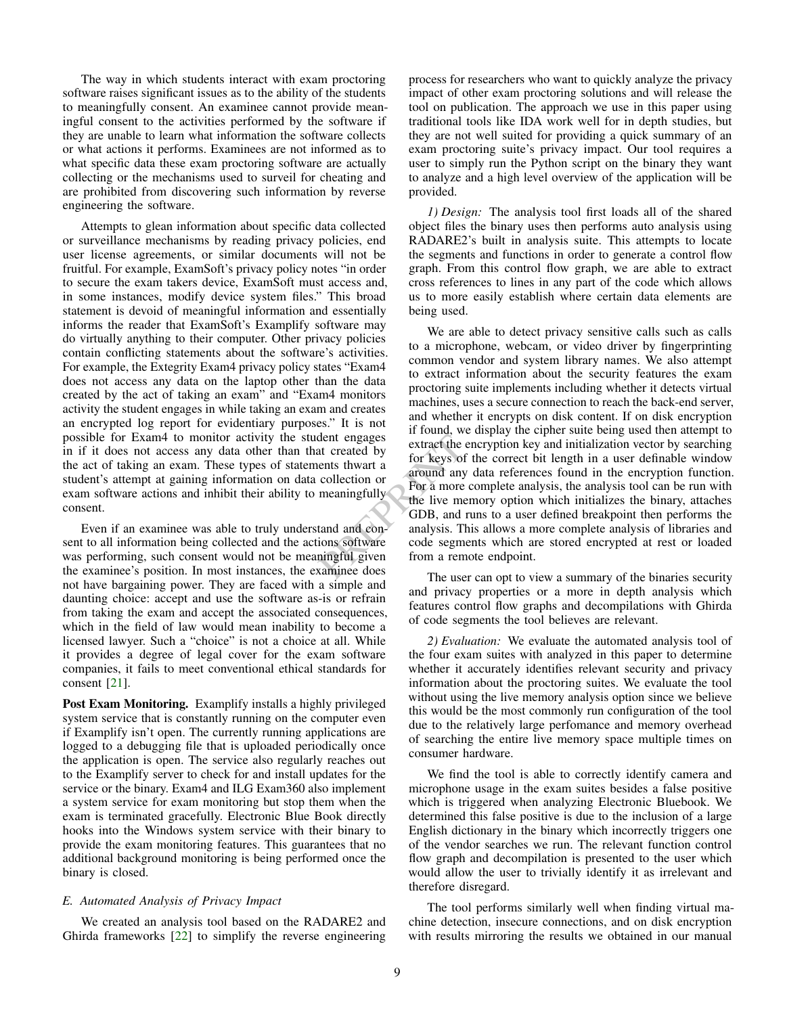<span id="page-8-0"></span>The way in which students interact with exam proctoring software raises significant issues as to the ability of the students to meaningfully consent. An examinee cannot provide meaningful consent to the activities performed by the software if they are unable to learn what information the software collects or what actions it performs. Examinees are not informed as to what specific data these exam proctoring software are actually collecting or the mechanisms used to surveil for cheating and are prohibited from discovering such information by reverse engineering the software.

Attempts to glean information about specific data collected or surveillance mechanisms by reading privacy policies, end user license agreements, or similar documents will not be fruitful. For example, ExamSoft's privacy policy notes "in order to secure the exam takers device, ExamSoft must access and, in some instances, modify device system files." This broad statement is devoid of meaningful information and essentially informs the reader that ExamSoft's Examplify software may do virtually anything to their computer. Other privacy policies contain conflicting statements about the software's activities. For example, the Extegrity Exam4 privacy policy states "Exam4 does not access any data on the laptop other than the data created by the act of taking an exam" and "Exam4 monitors activity the student engages in while taking an exam and creates an encrypted log report for evidentiary purposes." It is not possible for Exam4 to monitor activity the student engages in if it does not access any data other than that created by the act of taking an exam. These types of statements thwart a student's attempt at gaining information on data collection or exam software actions and inhibit their ability to meaningfully consent.

Even if an examinee was able to truly understand and consent to all information being collected and the actions software was performing, such consent would not be meaningful given the examinee's position. In most instances, the examinee does not have bargaining power. They are faced with a simple and daunting choice: accept and use the software as-is or refrain from taking the exam and accept the associated consequences, which in the field of law would mean inability to become a licensed lawyer. Such a "choice" is not a choice at all. While it provides a degree of legal cover for the exam software companies, it fails to meet conventional ethical standards for consent [\[21\]](#page-14-2).

Post Exam Monitoring. Examplify installs a highly privileged system service that is constantly running on the computer even if Examplify isn't open. The currently running applications are logged to a debugging file that is uploaded periodically once the application is open. The service also regularly reaches out to the Examplify server to check for and install updates for the service or the binary. Exam4 and ILG Exam360 also implement a system service for exam monitoring but stop them when the exam is terminated gracefully. Electronic Blue Book directly hooks into the Windows system service with their binary to provide the exam monitoring features. This guarantees that no additional background monitoring is being performed once the binary is closed.

## *E. Automated Analysis of Privacy Impact*

We created an analysis tool based on the RADARE2 and Ghirda frameworks  $[22]$  to simplify the reverse engineering

process for researchers who want to quickly analyze the privacy impact of other exam proctoring solutions and will release the tool on publication. The approach we use in this paper using traditional tools like IDA work well for in depth studies, but they are not well suited for providing a quick summary of an exam proctoring suite's privacy impact. Our tool requires a user to simply run the Python script on the binary they want to analyze and a high level overview of the application will be provided.

*1) Design:* The analysis tool first loads all of the shared object files the binary uses then performs auto analysis using RADARE2's built in analysis suite. This attempts to locate the segments and functions in order to generate a control flow graph. From this control flow graph, we are able to extract cross references to lines in any part of the code which allows us to more easily establish where certain data elements are being used.

dent engages<br>
at created by<br>
extract the encryption key and i<br>
for keys of the correct bit leng<br>
collection or<br>
meaningfully<br>
For a more complete analysis, t<br>
the live memory option which<br>
GDB, and runs to a user define<br>
t We are able to detect privacy sensitive calls such as calls to a microphone, webcam, or video driver by fingerprinting common vendor and system library names. We also attempt to extract information about the security features the exam proctoring suite implements including whether it detects virtual machines, uses a secure connection to reach the back-end server, and whether it encrypts on disk content. If on disk encryption if found, we display the cipher suite being used then attempt to extract the encryption key and initialization vector by searching for keys of the correct bit length in a user definable window around any data references found in the encryption function. For a more complete analysis, the analysis tool can be run with the live memory option which initializes the binary, attaches GDB, and runs to a user defined breakpoint then performs the analysis. This allows a more complete analysis of libraries and code segments which are stored encrypted at rest or loaded from a remote endpoint.

The user can opt to view a summary of the binaries security and privacy properties or a more in depth analysis which features control flow graphs and decompilations with Ghirda of code segments the tool believes are relevant.

*2) Evaluation:* We evaluate the automated analysis tool of the four exam suites with analyzed in this paper to determine whether it accurately identifies relevant security and privacy information about the proctoring suites. We evaluate the tool without using the live memory analysis option since we believe this would be the most commonly run configuration of the tool due to the relatively large perfomance and memory overhead of searching the entire live memory space multiple times on consumer hardware.

We find the tool is able to correctly identify camera and microphone usage in the exam suites besides a false positive which is triggered when analyzing Electronic Bluebook. We determined this false positive is due to the inclusion of a large English dictionary in the binary which incorrectly triggers one of the vendor searches we run. The relevant function control flow graph and decompilation is presented to the user which would allow the user to trivially identify it as irrelevant and therefore disregard.

The tool performs similarly well when finding virtual machine detection, insecure connections, and on disk encryption with results mirroring the results we obtained in our manual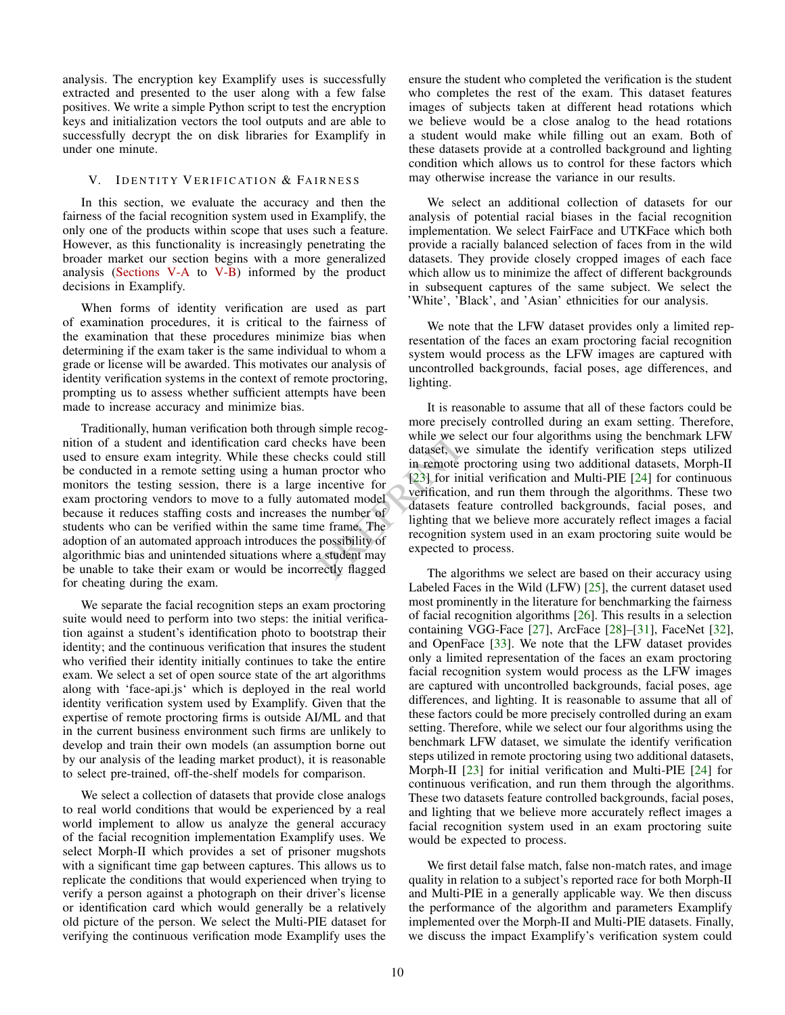<span id="page-9-1"></span>analysis. The encryption key Examplify uses is successfully extracted and presented to the user along with a few false positives. We write a simple Python script to test the encryption keys and initialization vectors the tool outputs and are able to successfully decrypt the on disk libraries for Examplify in under one minute.

## <span id="page-9-0"></span>V. IDENTITY VERIFICATION & FAIRNESS

In this section, we evaluate the accuracy and then the fairness of the facial recognition system used in Examplify, the only one of the products within scope that uses such a feature. However, as this functionality is increasingly penetrating the broader market our section begins with a more generalized analysis [\(Sections](#page-10-0) V-A to [V-B\)](#page-10-1) informed by the product decisions in Examplify.

When forms of identity verification are used as part of examination procedures, it is critical to the fairness of the examination that these procedures minimize bias when determining if the exam taker is the same individual to whom a grade or license will be awarded. This motivates our analysis of identity verification systems in the context of remote proctoring, prompting us to assess whether sufficient attempts have been made to increase accuracy and minimize bias.

Traditionally, human verification both through simple recognition of a student and identification card checks have been used to ensure exam integrity. While these checks could still be conducted in a remote setting using a human proctor who monitors the testing session, there is a large incentive for exam proctoring vendors to move to a fully automated model because it reduces staffing costs and increases the number of students who can be verified within the same time frame. The adoption of an automated approach introduces the possibility of algorithmic bias and unintended situations where a student may be unable to take their exam or would be incorrectly flagged for cheating during the exam.

We separate the facial recognition steps an exam proctoring suite would need to perform into two steps: the initial verification against a student's identification photo to bootstrap their identity; and the continuous verification that insures the student who verified their identity initially continues to take the entire exam. We select a set of open source state of the art algorithms along with 'face-api.js' which is deployed in the real world identity verification system used by Examplify. Given that the expertise of remote proctoring firms is outside AI/ML and that in the current business environment such firms are unlikely to develop and train their own models (an assumption borne out by our analysis of the leading market product), it is reasonable to select pre-trained, off-the-shelf models for comparison.

We select a collection of datasets that provide close analogs to real world conditions that would be experienced by a real world implement to allow us analyze the general accuracy of the facial recognition implementation Examplify uses. We select Morph-II which provides a set of prisoner mugshots with a significant time gap between captures. This allows us to replicate the conditions that would experienced when trying to verify a person against a photograph on their driver's license or identification card which would generally be a relatively old picture of the person. We select the Multi-PIE dataset for verifying the continuous verification mode Examplify uses the ensure the student who completed the verification is the student who completes the rest of the exam. This dataset features images of subjects taken at different head rotations which we believe would be a close analog to the head rotations a student would make while filling out an exam. Both of these datasets provide at a controlled background and lighting condition which allows us to control for these factors which may otherwise increase the variance in our results.

We select an additional collection of datasets for our analysis of potential racial biases in the facial recognition implementation. We select FairFace and UTKFace which both provide a racially balanced selection of faces from in the wild datasets. They provide closely cropped images of each face which allow us to minimize the affect of different backgrounds in subsequent captures of the same subject. We select the 'White', 'Black', and 'Asian' ethnicities for our analysis.

We note that the LFW dataset provides only a limited representation of the faces an exam proctoring facial recognition system would process as the LFW images are captured with uncontrolled backgrounds, facial poses, age differences, and lighting.

ks have been<br>
ks could still<br>
ataset, we simulate the iden<br>
proctor who<br>
in remote proctoring using two<br>
incentive for<br>
[23] for initial verification and<br>
mated model<br>
verification, and run them thro<br>
mated model<br>
datasets It is reasonable to assume that all of these factors could be more precisely controlled during an exam setting. Therefore, while we select our four algorithms using the benchmark LFW dataset, we simulate the identify verification steps utilized in remote proctoring using two additional datasets, Morph-II [23] for initial verification and Multi-PIE [\[24\]](#page-14-5) for continuous verification, and run them through the algorithms. These two datasets feature controlled backgrounds, facial poses, and lighting that we believe more accurately reflect images a facial recognition system used in an exam proctoring suite would be expected to process.

The algorithms we select are based on their accuracy using Labeled Faces in the Wild (LFW) [\[25\]](#page-14-6), the current dataset used most prominently in the literature for benchmarking the fairness of facial recognition algorithms [\[26\]](#page-14-7). This results in a selection containing VGG-Face [\[27\]](#page-14-8), ArcFace [\[28\]](#page-14-9)–[\[31\]](#page-14-10), FaceNet [\[32\]](#page-14-11), and OpenFace [\[33\]](#page-14-12). We note that the LFW dataset provides only a limited representation of the faces an exam proctoring facial recognition system would process as the LFW images are captured with uncontrolled backgrounds, facial poses, age differences, and lighting. It is reasonable to assume that all of these factors could be more precisely controlled during an exam setting. Therefore, while we select our four algorithms using the benchmark LFW dataset, we simulate the identify verification steps utilized in remote proctoring using two additional datasets, Morph-II [\[23\]](#page-14-4) for initial verification and Multi-PIE [\[24\]](#page-14-5) for continuous verification, and run them through the algorithms. These two datasets feature controlled backgrounds, facial poses, and lighting that we believe more accurately reflect images a facial recognition system used in an exam proctoring suite would be expected to process.

We first detail false match, false non-match rates, and image quality in relation to a subject's reported race for both Morph-II and Multi-PIE in a generally applicable way. We then discuss the performance of the algorithm and parameters Examplify implemented over the Morph-II and Multi-PIE datasets. Finally, we discuss the impact Examplify's verification system could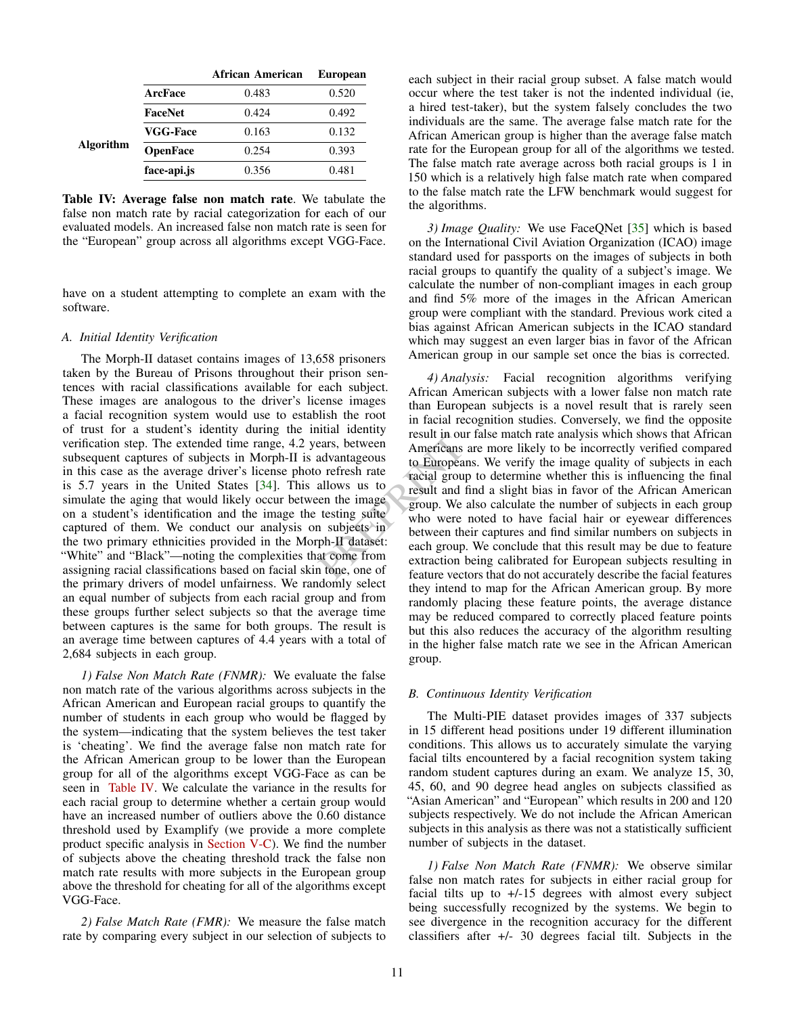<span id="page-10-3"></span><span id="page-10-2"></span>

|                 | African American | <b>European</b> |
|-----------------|------------------|-----------------|
| ArcFace         | 0.483            | 0.520           |
| FaceNet         | 0.424            | 0.492           |
| <b>VGG-Face</b> | 0.163            | 0.132           |
| <b>OpenFace</b> | 0.254            | 0.393           |
| face-api.js     | 0.356            | 0.481           |
|                 |                  |                 |

Table IV: Average false non match rate. We tabulate the false non match rate by racial categorization for each of our evaluated models. An increased false non match rate is seen for the "European" group across all algorithms except VGG-Face.

have on a student attempting to complete an exam with the software.

#### <span id="page-10-0"></span>*A. Initial Identity Verification*

The Morph-II dataset contains images of 13,658 prisoners taken by the Bureau of Prisons throughout their prison sentences with racial classifications available for each subject. These images are analogous to the driver's license images a facial recognition system would use to establish the root of trust for a student's identity during the initial identity verification step. The extended time range, 4.2 years, between subsequent captures of subjects in Morph-II is advantageous in this case as the average driver's license photo refresh rate is 5.7 years in the United States [\[34\]](#page-14-13). This allows us to simulate the aging that would likely occur between the image on a student's identification and the image the testing suite captured of them. We conduct our analysis on subjects in the two primary ethnicities provided in the Morph-II dataset: "White" and "Black"—noting the complexities that come from assigning racial classifications based on facial skin tone, one of the primary drivers of model unfairness. We randomly select an equal number of subjects from each racial group and from these groups further select subjects so that the average time between captures is the same for both groups. The result is an average time between captures of 4.4 years with a total of 2,684 subjects in each group.

*1) False Non Match Rate (FNMR):* We evaluate the false non match rate of the various algorithms across subjects in the African American and European racial groups to quantify the number of students in each group who would be flagged by the system—indicating that the system believes the test taker is 'cheating'. We find the average false non match rate for the African American group to be lower than the European group for all of the algorithms except VGG-Face as can be seen in [Table IV.](#page-10-2) We calculate the variance in the results for each racial group to determine whether a certain group would have an increased number of outliers above the 0.60 distance threshold used by Examplify (we provide a more complete product specific analysis in [Section](#page-11-0) V-C). We find the number of subjects above the cheating threshold track the false non match rate results with more subjects in the European group above the threshold for cheating for all of the algorithms except VGG-Face.

*2) False Match Rate (FMR):* We measure the false match rate by comparing every subject in our selection of subjects to each subject in their racial group subset. A false match would occur where the test taker is not the indented individual (ie, a hired test-taker), but the system falsely concludes the two individuals are the same. The average false match rate for the African American group is higher than the average false match rate for the European group for all of the algorithms we tested. The false match rate average across both racial groups is 1 in 150 which is a relatively high false match rate when compared to the false match rate the LFW benchmark would suggest for the algorithms.

*3) Image Quality:* We use FaceQNet [\[35\]](#page-14-14) which is based on the International Civil Aviation Organization (ICAO) image standard used for passports on the images of subjects in both racial groups to quantify the quality of a subject's image. We calculate the number of non-compliant images in each group and find 5% more of the images in the African American group were compliant with the standard. Previous work cited a bias against African American subjects in the ICAO standard which may suggest an even larger bias in favor of the African American group in our sample set once the bias is corrected.

Fresh rates and advantageous<br>
Present in our label and a stight b b<br>
advantageous<br>
b to Europeans. We verify the in<br>
advantageous<br>
b to Europeans. We verify the in<br>
racial group to determine whet<br>
allows us to<br>
result and *4) Analysis:* Facial recognition algorithms verifying African American subjects with a lower false non match rate than European subjects is a novel result that is rarely seen in facial recognition studies. Conversely, we find the opposite result in our false match rate analysis which shows that African Americans are more likely to be incorrectly verified compared to Europeans. We verify the image quality of subjects in each racial group to determine whether this is influencing the final result and find a slight bias in favor of the African American group. We also calculate the number of subjects in each group who were noted to have facial hair or eyewear differences between their captures and find similar numbers on subjects in each group. We conclude that this result may be due to feature extraction being calibrated for European subjects resulting in feature vectors that do not accurately describe the facial features they intend to map for the African American group. By more randomly placing these feature points, the average distance may be reduced compared to correctly placed feature points but this also reduces the accuracy of the algorithm resulting in the higher false match rate we see in the African American group.

## <span id="page-10-1"></span>*B. Continuous Identity Verification*

The Multi-PIE dataset provides images of 337 subjects in 15 different head positions under 19 different illumination conditions. This allows us to accurately simulate the varying facial tilts encountered by a facial recognition system taking random student captures during an exam. We analyze 15, 30, 45, 60, and 90 degree head angles on subjects classified as "Asian American" and "European" which results in 200 and 120 subjects respectively. We do not include the African American subjects in this analysis as there was not a statistically sufficient number of subjects in the dataset.

*1) False Non Match Rate (FNMR):* We observe similar false non match rates for subjects in either racial group for facial tilts up to +/-15 degrees with almost every subject being successfully recognized by the systems. We begin to see divergence in the recognition accuracy for the different classifiers after +/- 30 degrees facial tilt. Subjects in the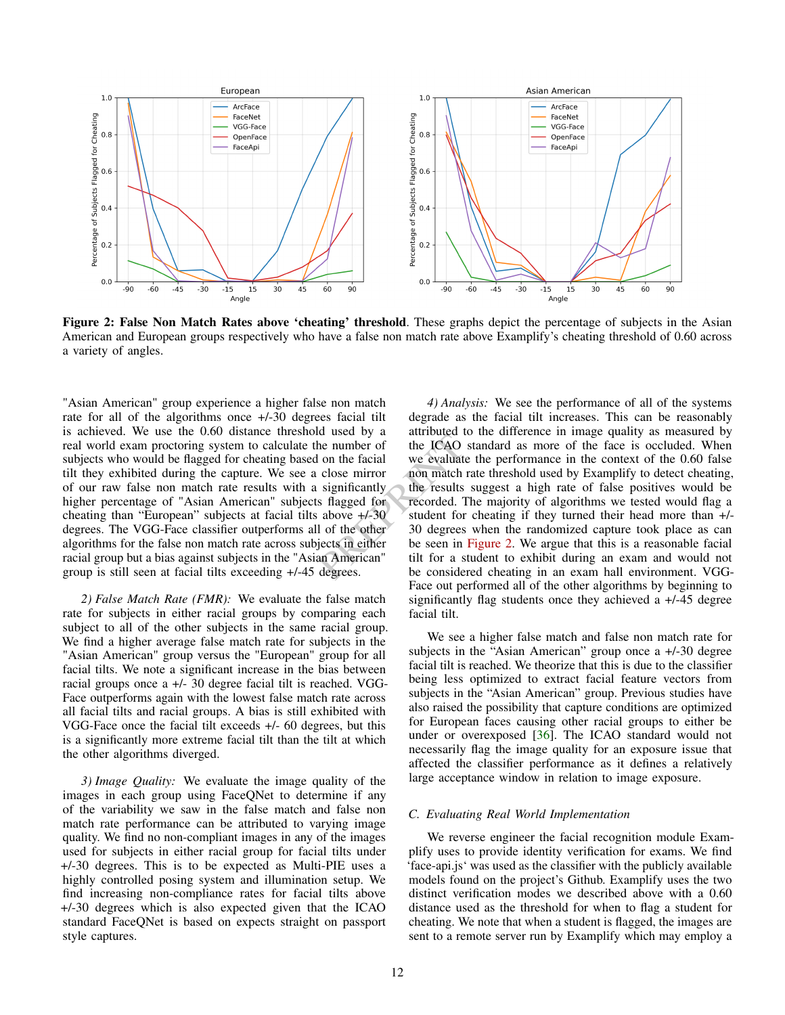<span id="page-11-2"></span><span id="page-11-1"></span>

Figure 2: False Non Match Rates above 'cheating' threshold. These graphs depict the percentage of subjects in the Asian American and European groups respectively who have a false non match rate above Examplify's cheating threshold of 0.60 across a variety of angles.

"Asian American" group experience a higher false non match rate for all of the algorithms once +/-30 degrees facial tilt is achieved. We use the 0.60 distance threshold used by a real world exam proctoring system to calculate the number of subjects who would be flagged for cheating based on the facial tilt they exhibited during the capture. We see a close mirror of our raw false non match rate results with a significantly higher percentage of "Asian American" subjects flagged for cheating than "European" subjects at facial tilts above +/-30 degrees. The VGG-Face classifier outperforms all of the other algorithms for the false non match rate across subjects in either racial group but a bias against subjects in the "Asian American" group is still seen at facial tilts exceeding +/-45 degrees.

*2) False Match Rate (FMR):* We evaluate the false match rate for subjects in either racial groups by comparing each subject to all of the other subjects in the same racial group. We find a higher average false match rate for subjects in the "Asian American" group versus the "European" group for all facial tilts. We note a significant increase in the bias between racial groups once a +/- 30 degree facial tilt is reached. VGG-Face outperforms again with the lowest false match rate across all facial tilts and racial groups. A bias is still exhibited with VGG-Face once the facial tilt exceeds +/- 60 degrees, but this is a significantly more extreme facial tilt than the tilt at which the other algorithms diverged.

*3) Image Quality:* We evaluate the image quality of the images in each group using FaceQNet to determine if any of the variability we saw in the false match and false non match rate performance can be attributed to varying image quality. We find no non-compliant images in any of the images used for subjects in either racial group for facial tilts under +/-30 degrees. This is to be expected as Multi-PIE uses a highly controlled posing system and illumination setup. We find increasing non-compliance rates for facial tilts above +/-30 degrees which is also expected given that the ICAO standard FaceQNet is based on expects straight on passport style captures.

The number of the ICAO standard as more of the ICAO standard as more of the ICAO standard as more of the ICAO standard as more of the ICAO standard as more of the interesting in the results suggest a high rat stagged for r *4) Analysis:* We see the performance of all of the systems degrade as the facial tilt increases. This can be reasonably attributed to the difference in image quality as measured by the ICAO standard as more of the face is occluded. When we evaluate the performance in the context of the 0.60 false non match rate threshold used by Examplify to detect cheating, the results suggest a high rate of false positives would be recorded. The majority of algorithms we tested would flag a student for cheating if they turned their head more than +/- 30 degrees when the randomized capture took place as can be seen in [Figure 2.](#page-11-1) We argue that this is a reasonable facial tilt for a student to exhibit during an exam and would not be considered cheating in an exam hall environment. VGG-Face out performed all of the other algorithms by beginning to significantly flag students once they achieved a +/-45 degree facial tilt.

> We see a higher false match and false non match rate for subjects in the "Asian American" group once a +/-30 degree facial tilt is reached. We theorize that this is due to the classifier being less optimized to extract facial feature vectors from subjects in the "Asian American" group. Previous studies have also raised the possibility that capture conditions are optimized for European faces causing other racial groups to either be under or overexposed [\[36\]](#page-14-15). The ICAO standard would not necessarily flag the image quality for an exposure issue that affected the classifier performance as it defines a relatively large acceptance window in relation to image exposure.

## <span id="page-11-0"></span>*C. Evaluating Real World Implementation*

We reverse engineer the facial recognition module Examplify uses to provide identity verification for exams. We find 'face-api.js' was used as the classifier with the publicly available models found on the project's Github. Examplify uses the two distinct verification modes we described above with a 0.60 distance used as the threshold for when to flag a student for cheating. We note that when a student is flagged, the images are sent to a remote server run by Examplify which may employ a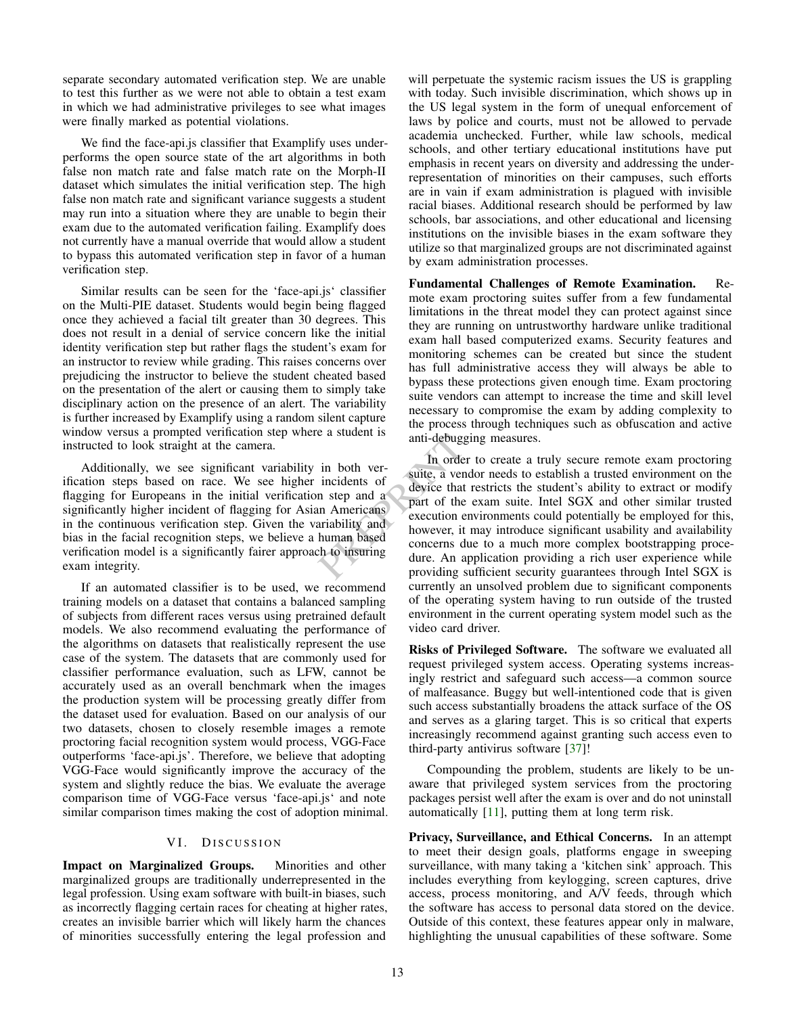<span id="page-12-0"></span>separate secondary automated verification step. We are unable to test this further as we were not able to obtain a test exam in which we had administrative privileges to see what images were finally marked as potential violations.

We find the face-api.js classifier that Examplify uses underperforms the open source state of the art algorithms in both false non match rate and false match rate on the Morph-II dataset which simulates the initial verification step. The high false non match rate and significant variance suggests a student may run into a situation where they are unable to begin their exam due to the automated verification failing. Examplify does not currently have a manual override that would allow a student to bypass this automated verification step in favor of a human verification step.

Similar results can be seen for the 'face-api.js' classifier on the Multi-PIE dataset. Students would begin being flagged once they achieved a facial tilt greater than 30 degrees. This does not result in a denial of service concern like the initial identity verification step but rather flags the student's exam for an instructor to review while grading. This raises concerns over prejudicing the instructor to believe the student cheated based on the presentation of the alert or causing them to simply take disciplinary action on the presence of an alert. The variability is further increased by Examplify using a random silent capture window versus a prompted verification step where a student is instructed to look straight at the camera.

Additionally, we see significant variability in both verification steps based on race. We see higher incidents of flagging for Europeans in the initial verification step and a significantly higher incident of flagging for Asian Americans in the continuous verification step. Given the variability and bias in the facial recognition steps, we believe a human based verification model is a significantly fairer approach to insuring exam integrity.

If an automated classifier is to be used, we recommend training models on a dataset that contains a balanced sampling of subjects from different races versus using pretrained default models. We also recommend evaluating the performance of the algorithms on datasets that realistically represent the use case of the system. The datasets that are commonly used for classifier performance evaluation, such as LFW, cannot be accurately used as an overall benchmark when the images the production system will be processing greatly differ from the dataset used for evaluation. Based on our analysis of our two datasets, chosen to closely resemble images a remote proctoring facial recognition system would process, VGG-Face outperforms 'face-api.js'. Therefore, we believe that adopting VGG-Face would significantly improve the accuracy of the system and slightly reduce the bias. We evaluate the average comparison time of VGG-Face versus 'face-api.js' and note similar comparison times making the cost of adoption minimal.

# VI. DISCUSSION

Impact on Marginalized Groups. Minorities and other marginalized groups are traditionally underrepresented in the legal profession. Using exam software with built-in biases, such as incorrectly flagging certain races for cheating at higher rates, creates an invisible barrier which will likely harm the chances of minorities successfully entering the legal profession and will perpetuate the systemic racism issues the US is grappling with today. Such invisible discrimination, which shows up in the US legal system in the form of unequal enforcement of laws by police and courts, must not be allowed to pervade academia unchecked. Further, while law schools, medical schools, and other tertiary educational institutions have put emphasis in recent years on diversity and addressing the underrepresentation of minorities on their campuses, such efforts are in vain if exam administration is plagued with invisible racial biases. Additional research should be performed by law schools, bar associations, and other educational and licensing institutions on the invisible biases in the exam software they utilize so that marginalized groups are not discriminated against by exam administration processes.

Fundamental Challenges of Remote Examination. Remote exam proctoring suites suffer from a few fundamental limitations in the threat model they can protect against since they are running on untrustworthy hardware unlike traditional exam hall based computerized exams. Security features and monitoring schemes can be created but since the student has full administrative access they will always be able to bypass these protections given enough time. Exam proctoring suite vendors can attempt to increase the time and skill level necessary to compromise the exam by adding complexity to the process through techniques such as obfuscation and active anti-debugging measures.

anti-debugging measures.<br>
in both ver-<br>
incidents of<br>
n step and a<br>
in Americans<br>
ariability and<br>
human based<br>
that is the starting part of the exam suite. Intel<br>
in Americans<br>
execution environments could p<br>
human based<br> In order to create a truly secure remote exam proctoring suite, a vendor needs to establish a trusted environment on the device that restricts the student's ability to extract or modify part of the exam suite. Intel SGX and other similar trusted execution environments could potentially be employed for this, however, it may introduce significant usability and availability concerns due to a much more complex bootstrapping procedure. An application providing a rich user experience while providing sufficient security guarantees through Intel SGX is currently an unsolved problem due to significant components of the operating system having to run outside of the trusted environment in the current operating system model such as the video card driver.

> Risks of Privileged Software. The software we evaluated all request privileged system access. Operating systems increasingly restrict and safeguard such access—a common source of malfeasance. Buggy but well-intentioned code that is given such access substantially broadens the attack surface of the OS and serves as a glaring target. This is so critical that experts increasingly recommend against granting such access even to third-party antivirus software [\[37\]](#page-14-16)!

> Compounding the problem, students are likely to be unaware that privileged system services from the proctoring packages persist well after the exam is over and do not uninstall automatically [\[11\]](#page-13-10), putting them at long term risk.

> Privacy, Surveillance, and Ethical Concerns. In an attempt to meet their design goals, platforms engage in sweeping surveillance, with many taking a 'kitchen sink' approach. This includes everything from keylogging, screen captures, drive access, process monitoring, and A/V feeds, through which the software has access to personal data stored on the device. Outside of this context, these features appear only in malware, highlighting the unusual capabilities of these software. Some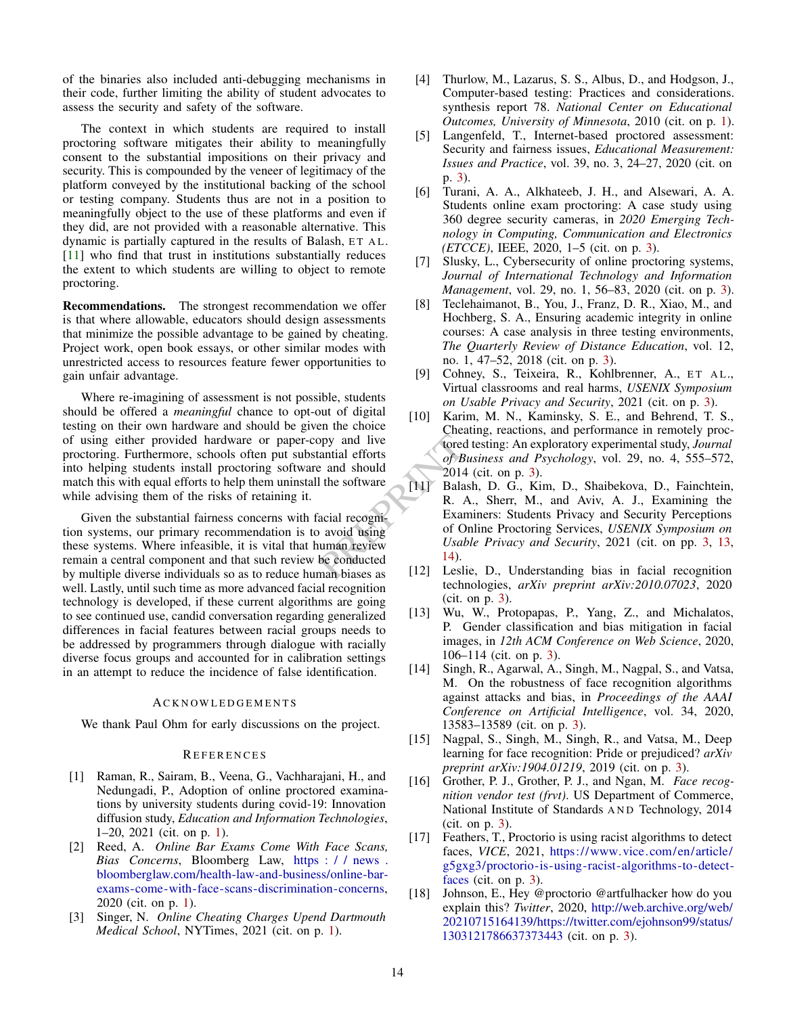<span id="page-13-18"></span>of the binaries also included anti-debugging mechanisms in their code, further limiting the ability of student advocates to assess the security and safety of the software.

The context in which students are required to install proctoring software mitigates their ability to meaningfully consent to the substantial impositions on their privacy and security. This is compounded by the veneer of legitimacy of the platform conveyed by the institutional backing of the school or testing company. Students thus are not in a position to meaningfully object to the use of these platforms and even if they did, are not provided with a reasonable alternative. This dynamic is partially captured in the results of Balash, ET AL. [\[11\]](#page-13-10) who find that trust in institutions substantially reduces the extent to which students are willing to object to remote proctoring.

Recommendations. The strongest recommendation we offer is that where allowable, educators should design assessments that minimize the possible advantage to be gained by cheating. Project work, open book essays, or other similar modes with unrestricted access to resources feature fewer opportunities to gain unfair advantage.

Where re-imagining of assessment is not possible, students should be offered a *meaningful* chance to opt-out of digital testing on their own hardware and should be given the choice of using either provided hardware or paper-copy and live proctoring. Furthermore, schools often put substantial efforts into helping students install proctoring software and should match this with equal efforts to help them uninstall the software while advising them of the risks of retaining it.

Given the substantial fairness concerns with facial recognition systems, our primary recommendation is to avoid using these systems. Where infeasible, it is vital that human review remain a central component and that such review be conducted by multiple diverse individuals so as to reduce human biases as well. Lastly, until such time as more advanced facial recognition technology is developed, if these current algorithms are going to see continued use, candid conversation regarding generalized differences in facial features between racial groups needs to be addressed by programmers through dialogue with racially diverse focus groups and accounted for in calibration settings in an attempt to reduce the incidence of false identification.

#### **ACKNOWLEDGEMENTS**

We thank Paul Ohm for early discussions on the project.

## <span id="page-13-17"></span><span id="page-13-16"></span><span id="page-13-15"></span><span id="page-13-14"></span><span id="page-13-13"></span>**REFERENCES**

- <span id="page-13-0"></span>[1] Raman, R., Sairam, B., Veena, G., Vachharajani, H., and Nedungadi, P., Adoption of online proctored examinations by university students during covid-19: Innovation diffusion study, *Education and Information Technologies*, 1–20, 2021 (cit. on p. [1\)](#page-0-0).
- <span id="page-13-1"></span>[2] Reed, A. *Online Bar Exams Come With Face Scans, Bias Concerns*, Bloomberg Law, [https : / / news .](https://news.bloomberglaw.com/health-law-and-business/online-bar-exams-come-with-face-scans-discrimination-concerns) [bloomberglaw.com/health-law-and-business/online-bar](https://news.bloomberglaw.com/health-law-and-business/online-bar-exams-come-with-face-scans-discrimination-concerns)[exams-come-with-face-scans-discrimination-concerns,](https://news.bloomberglaw.com/health-law-and-business/online-bar-exams-come-with-face-scans-discrimination-concerns) 2020 (cit. on p. [1\)](#page-0-0).
- <span id="page-13-2"></span>[3] Singer, N. *Online Cheating Charges Upend Dartmouth Medical School*, NYTimes, 2021 (cit. on p. [1\)](#page-0-0).
- <span id="page-13-3"></span>[4] Thurlow, M., Lazarus, S. S., Albus, D., and Hodgson, J., Computer-based testing: Practices and considerations. synthesis report 78. *National Center on Educational Outcomes, University of Minnesota*, 2010 (cit. on p. [1\)](#page-0-0).
- <span id="page-13-4"></span>[5] Langenfeld, T., Internet-based proctored assessment: Security and fairness issues, *Educational Measurement: Issues and Practice*, vol. 39, no. 3, 24–27, 2020 (cit. on p. [3\)](#page-2-0).
- <span id="page-13-5"></span>[6] Turani, A. A., Alkhateeb, J. H., and Alsewari, A. A. Students online exam proctoring: A case study using 360 degree security cameras, in *2020 Emerging Technology in Computing, Communication and Electronics (ETCCE)*, IEEE, 2020, 1–5 (cit. on p. [3\)](#page-2-0).
- <span id="page-13-6"></span>[7] Slusky, L., Cybersecurity of online proctoring systems, *Journal of International Technology and Information Management*, vol. 29, no. 1, 56–83, 2020 (cit. on p. [3\)](#page-2-0).
- <span id="page-13-7"></span>[8] Teclehaimanot, B., You, J., Franz, D. R., Xiao, M., and Hochberg, S. A., Ensuring academic integrity in online courses: A case analysis in three testing environments, *The Quarterly Review of Distance Education*, vol. 12, no. 1, 47–52, 2018 (cit. on p. [3\)](#page-2-0).
- <span id="page-13-8"></span>[9] Cohney, S., Teixeira, R., Kohlbrenner, A., ET AL., Virtual classrooms and real harms, *USENIX Symposium on Usable Privacy and Security*, 2021 (cit. on p. [3\)](#page-2-0).
- <span id="page-13-11"></span><span id="page-13-10"></span><span id="page-13-9"></span>[10] Karim, M. N., Kaminsky, S. E., and Behrend, T. S., Cheating, reactions, and performance in remotely proctored testing: An exploratory experimental study, *Journal of Business and Psychology*, vol. 29, no. 4, 555–572, 2014 (cit. on p. [3\)](#page-2-0).
- <span id="page-13-12"></span>opy and live<br>
tantial efforts<br>
and should<br>
1 the software<br>
and should<br>
1 the software<br>
(11) Balash, D. G., Kim, D.<br>
acial recognical recognical and Examiners: Students Pri<br>
balash, D. G., Kim, D.<br>
R. A., Sherr, M., and<br>
Ex [11] Balash, D. G., Kim, D., Shaibekova, D., Fainchtein, R. A., Sherr, M., and Aviv, A. J., Examining the Examiners: Students Privacy and Security Perceptions of Online Proctoring Services, *USENIX Symposium on Usable Privacy and Security*, 2021 (cit. on pp. [3,](#page-2-0) [13,](#page-12-0) 14).
	- [12] Leslie, D., Understanding bias in facial recognition technologies, *arXiv preprint arXiv:2010.07023*, 2020 (cit. on p. [3\)](#page-2-0).
	- [13] Wu, W., Protopapas, P., Yang, Z., and Michalatos, P. Gender classification and bias mitigation in facial images, in *12th ACM Conference on Web Science*, 2020, 106–114 (cit. on p. [3\)](#page-2-0).
	- [14] Singh, R., Agarwal, A., Singh, M., Nagpal, S., and Vatsa, M. On the robustness of face recognition algorithms against attacks and bias, in *Proceedings of the AAAI Conference on Artificial Intelligence*, vol. 34, 2020, 13583–13589 (cit. on p. [3\)](#page-2-0).
	- [15] Nagpal, S., Singh, M., Singh, R., and Vatsa, M., Deep learning for face recognition: Pride or prejudiced? *arXiv preprint arXiv:1904.01219*, 2019 (cit. on p. [3\)](#page-2-0).
	- [16] Grother, P. J., Grother, P. J., and Ngan, M. *Face recognition vendor test (frvt)*. US Department of Commerce, National Institute of Standards AND Technology, 2014 (cit. on p. [3\)](#page-2-0).
	- [17] Feathers, T., Proctorio is using racist algorithms to detect faces, *VICE*, 2021, [https://www.vice.com/en/article/](https://www.vice.com/en/article/g5gxg3/proctorio-is-using-racist-algorithms-to-detect-faces) [g5gxg3/proctorio-is-using-racist-algorithms-to-detect](https://www.vice.com/en/article/g5gxg3/proctorio-is-using-racist-algorithms-to-detect-faces)[faces](https://www.vice.com/en/article/g5gxg3/proctorio-is-using-racist-algorithms-to-detect-faces) (cit. on p. [3\)](#page-2-0).
	- [18] Johnson, E., Hey @proctorio @artfulhacker how do you explain this? *Twitter*, 2020, [http://web.archive.org/web/](http://web.archive.org/web/20210715164139/https://twitter.com/ejohnson99/status/1303121786637373443) [20210715164139/https://twitter.com/ejohnson99/status/](http://web.archive.org/web/20210715164139/https://twitter.com/ejohnson99/status/1303121786637373443) [1303121786637373443](http://web.archive.org/web/20210715164139/https://twitter.com/ejohnson99/status/1303121786637373443) (cit. on p. [3\)](#page-2-0).